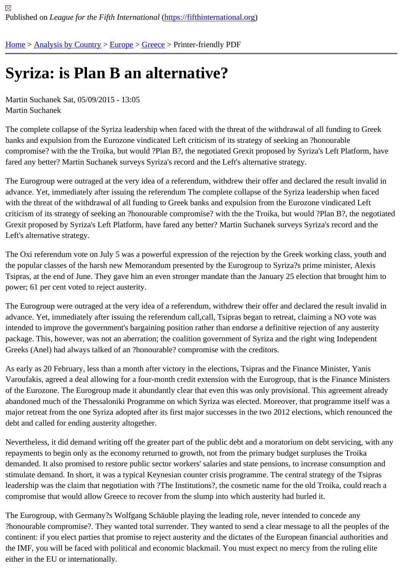# [Syr](https://fifthinternational.org/)i[za: is Plan](https://fifthinternational.org/category/1) [B a](https://fifthinternational.org/category/1/128)[n alt](https://fifthinternational.org/category/1/128/147)ernative?

Martin Suchanek Sat, 05/09/2015 - 13:05 Martin Suchanek

The complete collapse of the Syriza leadership when faced with the threat of the withdrawal of all funding to Greek banks and expulsion from the Eurozone vindicated Left criticism of its strategy of seeking an ?honourable compromise? with the the Troika, but would ?Plan B?, the negotiated Grexit proposed by Syriza's Left Platform, ha fared any better? Martin Suchanek surveys Syriza's record and the Left's alternative strategy.

The Eurogroup were outraged at the very idea of a referendum, withdrew their offer and declared the result invalid in advance. Yet, immediately after issuing the referendum The complete collapse of the Syriza leadership when face with the threat of the withdrawal of all funding to Greek banks and expulsion from the Eurozone vindicated Left criticism of its strategy of seeking an ?honourable compromise? with the the Troika, but would ?Plan B?, the nego Grexit proposed by Syriza's Left Platform, have fared any better? Martin Suchanek surveys Syriza's record and the Left's alternative strategy.

The Oxi referendum vote on July 5 was a powerful expression of the rejection by the Greek working class, youth a the popular classes of the harsh new Memorandum presented by the Eurogroup to Syriza?s prime minister, Alexis Tsipras, at the end of June. They gave him an even stronger mandate than the January 25 election that brought hi power; 61 per cent voted to reject austerity.

The Eurogroup were outraged at the very idea of a referendum, withdrew their offer and declared the result invalid in advance. Yet, immediately after issuing the referendum call,call, Tsipras began to retreat, claiming a NO vote was intended to improve the government's bargaining position rather than endorse a definitive rejection of any austerity package. This, however, was not an aberration; the coalition government of Syriza and the right wing Independent Greeks (Anel) had always talked of an ?honourable? compromise with the creditors.

As early as 20 February, less than a month after victory in the elections, Tsipras and the Finance Minister, Yanis Varoufakis, agreed a deal allowing for a four-month credit extension with the Eurogroup, that is the Finance Minist of the Eurozone. The Eurogroup made it abundantly clear that even this was only provisional. This agreement alre abandoned much of the Thessaloniki Programme on which Syriza was elected. Moreover, that programme itself w major retreat from the one Syriza adopted after its first major successes in the two 2012 elections, which renounce debt and called for ending austerity altogether.

Nevertheless, it did demand writing off the greater part of the public debt and a moratorium on debt servicing, with repayments to begin only as the economy returned to growth, not from the primary budget surpluses the Troika demanded. It also promised to restore public sector workers' salaries and state pensions, to increase consumptior stimulate demand. In short, it was a typical Keynesian counter crisis programme. The central strategy of the Tsipra leadership was the claim that negotiation with ?The Institutions?, the cosmetic name for the old Troika, could reacl compromise that would allow Greece to recover from the slump into which austerity had hurled it.

The Eurogroup, with Germany?s Wolfgang Schäuble playing the leading role, never intended to concede any ?honourable compromise?. They wanted total surrender. They wanted to send a clear message to all the peoples continent: if you elect parties that promise to reject austerity and the dictates of the European financial authorities the IMF, you will be faced with political and economic blackmail. You must expect no mercy from the ruling elite either in the EU or internationally.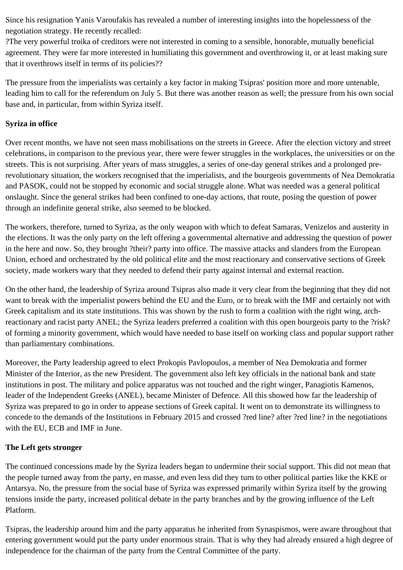Since his resignation Yanis Varoufakis has revealed a number of interesting insights into the hopelessness of the negotiation strategy. He recently recalled:

?The very powerful troika of creditors were not interested in coming to a sensible, honorable, mutually beneficial agreement. They were far more interested in humiliating this government and overthrowing it, or at least making sure that it overthrows itself in terms of its policies??

The pressure from the imperialists was certainly a key factor in making Tsipras' position more and more untenable, leading him to call for the referendum on July 5. But there was another reason as well; the pressure from his own social base and, in particular, from within Syriza itself.

# **Syriza in office**

Over recent months, we have not seen mass mobilisations on the streets in Greece. After the election victory and street celebrations, in comparison to the previous year, there were fewer struggles in the workplaces, the universities or on the streets. This is not surprising. After years of mass struggles, a series of one-day general strikes and a prolonged prerevolutionary situation, the workers recognised that the imperialists, and the bourgeois governments of Nea Demokratia and PASOK, could not be stopped by economic and social struggle alone. What was needed was a general political onslaught. Since the general strikes had been confined to one-day actions, that route, posing the question of power through an indefinite general strike, also seemed to be blocked.

The workers, therefore, turned to Syriza, as the only weapon with which to defeat Samaras, Venizelos and austerity in the elections. It was the only party on the left offering a governmental alternative and addressing the question of power in the here and now. So, they brought ?their? party into office. The massive attacks and slanders from the European Union, echoed and orchestrated by the old political elite and the most reactionary and conservative sections of Greek society, made workers wary that they needed to defend their party against internal and external reaction.

On the other hand, the leadership of Syriza around Tsipras also made it very clear from the beginning that they did not want to break with the imperialist powers behind the EU and the Euro, or to break with the IMF and certainly not with Greek capitalism and its state institutions. This was shown by the rush to form a coalition with the right wing, archreactionary and racist party ANEL; the Syriza leaders preferred a coalition with this open bourgeois party to the ?risk? of forming a minority government, which would have needed to base itself on working class and popular support rather than parliamentary combinations.

Moreover, the Party leadership agreed to elect Prokopis Pavlopoulos, a member of Nea Demokratia and former Minister of the Interior, as the new President. The government also left key officials in the national bank and state institutions in post. The military and police apparatus was not touched and the right winger, Panagiotis Kamenos, leader of the Independent Greeks (ANEL), became Minister of Defence. All this showed how far the leadership of Syriza was prepared to go in order to appease sections of Greek capital. It went on to demonstrate its willingness to concede to the demands of the Institutions in February 2015 and crossed ?red line? after ?red line? in the negotiations with the EU, ECB and IMF in June.

# **The Left gets stronger**

The continued concessions made by the Syriza leaders began to undermine their social support. This did not mean that the people turned away from the party, en masse, and even less did they turn to other political parties like the KKE or Antarsya. No, the pressure from the social base of Syriza was expressed primarily within Syriza itself by the growing tensions inside the party, increased political debate in the party branches and by the growing influence of the Left Platform.

Tsipras, the leadership around him and the party apparatus he inherited from Synaspismos, were aware throughout that entering government would put the party under enormous strain. That is why they had already ensured a high degree of independence for the chairman of the party from the Central Committee of the party.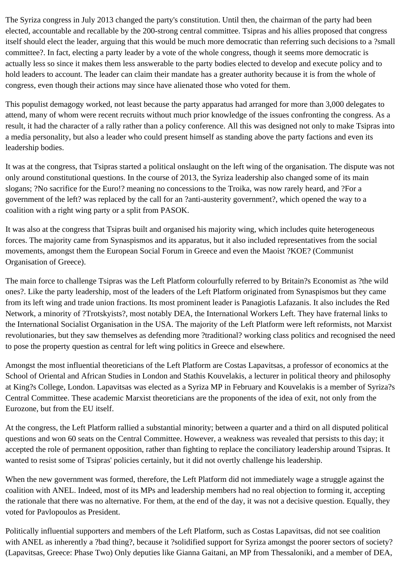The Syriza congress in July 2013 changed the party's constitution. Until then, the chairman of the party had been elected, accountable and recallable by the 200-strong central committee. Tsipras and his allies proposed that congress itself should elect the leader, arguing that this would be much more democratic than referring such decisions to a ?small committee?. In fact, electing a party leader by a vote of the whole congress, though it seems more democratic is actually less so since it makes them less answerable to the party bodies elected to develop and execute policy and to hold leaders to account. The leader can claim their mandate has a greater authority because it is from the whole of congress, even though their actions may since have alienated those who voted for them.

This populist demagogy worked, not least because the party apparatus had arranged for more than 3,000 delegates to attend, many of whom were recent recruits without much prior knowledge of the issues confronting the congress. As a result, it had the character of a rally rather than a policy conference. All this was designed not only to make Tsipras into a media personality, but also a leader who could present himself as standing above the party factions and even its leadership bodies.

It was at the congress, that Tsipras started a political onslaught on the left wing of the organisation. The dispute was not only around constitutional questions. In the course of 2013, the Syriza leadership also changed some of its main slogans; ?No sacrifice for the Euro!? meaning no concessions to the Troika, was now rarely heard, and ?For a government of the left? was replaced by the call for an ?anti-austerity government?, which opened the way to a coalition with a right wing party or a split from PASOK.

It was also at the congress that Tsipras built and organised his majority wing, which includes quite heterogeneous forces. The majority came from Synaspismos and its apparatus, but it also included representatives from the social movements, amongst them the European Social Forum in Greece and even the Maoist ?KOE? (Communist Organisation of Greece).

The main force to challenge Tsipras was the Left Platform colourfully referred to by Britain?s Economist as ?the wild ones?. Like the party leadership, most of the leaders of the Left Platform originated from Synaspismos but they came from its left wing and trade union fractions. Its most prominent leader is Panagiotis Lafazanis. It also includes the Red Network, a minority of ?Trotskyists?, most notably DEA, the International Workers Left. They have fraternal links to the International Socialist Organisation in the USA. The majority of the Left Platform were left reformists, not Marxist revolutionaries, but they saw themselves as defending more ?traditional? working class politics and recognised the need to pose the property question as central for left wing politics in Greece and elsewhere.

Amongst the most influential theoreticians of the Left Platform are Costas Lapavitsas, a professor of economics at the School of Oriental and African Studies in London and Stathis Kouvelakis, a lecturer in political theory and philosophy at King?s College, London. Lapavitsas was elected as a Syriza MP in February and Kouvelakis is a member of Syriza?s Central Committee. These academic Marxist theoreticians are the proponents of the idea of exit, not only from the Eurozone, but from the EU itself.

At the congress, the Left Platform rallied a substantial minority; between a quarter and a third on all disputed political questions and won 60 seats on the Central Committee. However, a weakness was revealed that persists to this day; it accepted the role of permanent opposition, rather than fighting to replace the conciliatory leadership around Tsipras. It wanted to resist some of Tsipras' policies certainly, but it did not overtly challenge his leadership.

When the new government was formed, therefore, the Left Platform did not immediately wage a struggle against the coalition with ANEL. Indeed, most of its MPs and leadership members had no real objection to forming it, accepting the rationale that there was no alternative. For them, at the end of the day, it was not a decisive question. Equally, they voted for Pavlopoulos as President.

Politically influential supporters and members of the Left Platform, such as Costas Lapavitsas, did not see coalition with ANEL as inherently a ?bad thing?, because it ?solidified support for Syriza amongst the poorer sectors of society? (Lapavitsas, Greece: Phase Two) Only deputies like Gianna Gaitani, an MP from Thessaloniki, and a member of DEA,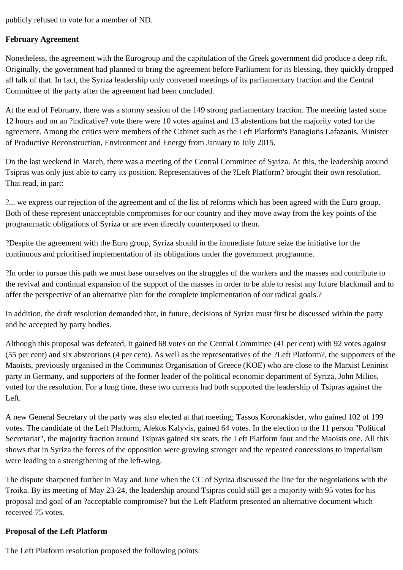publicly refused to vote for a member of ND.

#### **February Agreement**

Nonetheless, the agreement with the Eurogroup and the capitulation of the Greek government did produce a deep rift. Originally, the government had planned to bring the agreement before Parliament for its blessing, they quickly dropped all talk of that. In fact, the Syriza leadership only convened meetings of its parliamentary fraction and the Central Committee of the party after the agreement had been concluded.

At the end of February, there was a stormy session of the 149 strong parliamentary fraction. The meeting lasted some 12 hours and on an ?indicative? vote there were 10 votes against and 13 abstentions but the majority voted for the agreement. Among the critics were members of the Cabinet such as the Left Platform's Panagiotis Lafazanis, Minister of Productive Reconstruction, Environment and Energy from January to July 2015.

On the last weekend in March, there was a meeting of the Central Committee of Syriza. At this, the leadership around Tsipras was only just able to carry its position. Representatives of the ?Left Platform? brought their own resolution. That read, in part:

?... we express our rejection of the agreement and of the list of reforms which has been agreed with the Euro group. Both of these represent unacceptable compromises for our country and they move away from the key points of the programmatic obligations of Syriza or are even directly counterposed to them.

?Despite the agreement with the Euro group, Syriza should in the immediate future seize the initiative for the continuous and prioritised implementation of its obligations under the government programme.

?In order to pursue this path we must base ourselves on the struggles of the workers and the masses and contribute to the revival and continual expansion of the support of the masses in order to be able to resist any future blackmail and to offer the perspective of an alternative plan for the complete implementation of our radical goals.?

In addition, the draft resolution demanded that, in future, decisions of Syriza must first be discussed within the party and be accepted by party bodies.

Although this proposal was defeated, it gained 68 votes on the Central Committee (41 per cent) with 92 votes against (55 per cent) and six abstentions (4 per cent). As well as the representatives of the ?Left Platform?, the supporters of the Maoists, previously organised in the Communist Organisation of Greece (KOE) who are close to the Marxist Leninist party in Germany, and supporters of the former leader of the political economic department of Syriza, John Milios, voted for the resolution. For a long time, these two currents had both supported the leadership of Tsipras against the Left.

A new General Secretary of the party was also elected at that meeting; Tassos Koronakisder, who gained 102 of 199 votes. The candidate of the Left Platform, Alekos Kalyvis, gained 64 votes. In the election to the 11 person "Political Secretariat", the majority fraction around Tsipras gained six seats, the Left Platform four and the Maoists one. All this shows that in Syriza the forces of the opposition were growing stronger and the repeated concessions to imperialism were leading to a strengthening of the left-wing.

The dispute sharpened further in May and June when the CC of Syriza discussed the line for the negotiations with the Troika. By its meeting of May 23-24, the leadership around Tsipras could still get a majority with 95 votes for his proposal and goal of an ?acceptable compromise? but the Left Platform presented an alternative document which received 75 votes.

# **Proposal of the Left Platform**

The Left Platform resolution proposed the following points: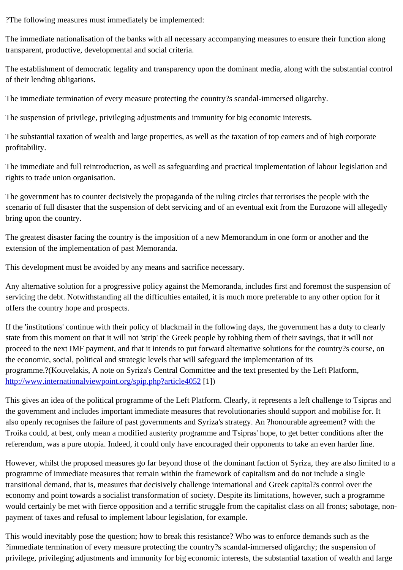The immediate nationalisation of the banks with all necessary accompanying measures to ensure their function alo transparent, productive, developmental and social criteria.

The establishment of democratic legality and transparency upon the dominant media, along with the substantial co of their lending obligations.

The immediate termination of every measure protecting the country?s scandal-immersed oligarchy.

The suspension of privilege, privileging adjustments and immunity for big economic interests.

The substantial taxation of wealth and large properties, as well as the taxation of top earners and of high corporate profitability.

The immediate and full reintroduction, as well as safeguarding and practical implementation of labour legislation and rights to trade union organisation.

The government has to counter decisively the propaganda of the ruling circles that terrorises the people with the scenario of full disaster that the suspension of debt servicing and of an eventual exit from the Eurozone will allege bring upon the country.

The greatest disaster facing the country is the imposition of a new Memorandum in one form or another and the extension of the implementation of past Memoranda.

This development must be avoided by any means and sacrifice necessary.

Any alternative solution for a progressive policy against the Memoranda, includes first and foremost the suspensio servicing the debt. Notwithstanding all the difficulties entailed, it is much more preferable to any other option for it offers the country hope and prospects.

If the 'institutions' continue with their policy of blackmail in the following days, the government has a duty to clearly state from this moment on that it will not 'strip' the Greek people by robbing them of their savings, that it will not proceed to the next IMF payment, and that it intends to put forward alternative solutions for the country?s course, the economic, social, political and strategic levels that will safeguard the implementation of its programme.?(Kouvelakis, A note on Syriza's Central Committee and the text presented by the Left Platform, http://www.internationalviewpoint.org/spip.php?article405B

This gives an idea of the political programme of the Left Platform. Clearly, it represents a left challenge to Tsipras [the government and includes important immediate mea](http://www.internationalviewpoint.org/spip.php?article4052)sures that revolutionaries should support and mobilise for. also openly recognises the failure of past governments and Syriza's strategy. An ?honourable agreement? with the Troika could, at best, only mean a modified austerity programme and Tsipras' hope, to get better conditions after the referendum, was a pure utopia. Indeed, it could only have encouraged their opponents to take an even harder line

However, whilst the proposed measures go far beyond those of the dominant faction of Syriza, they are also limite programme of immediate measures that remain within the framework of capitalism and do not include a single transitional demand, that is, measures that decisively challenge international and Greek capital?s control over the economy and point towards a socialist transformation of society. Despite its limitations, however, such a programn would certainly be met with fierce opposition and a terrific struggle from the capitalist class on all fronts; sabotage, payment of taxes and refusal to implement labour legislation, for example.

This would inevitably pose the question; how to break this resistance? Who was to enforce demands such as the ?immediate termination of every measure protecting the country?s scandal-immersed oligarchy; the suspension of privilege, privileging adjustments and immunity for big economic interests, the substantial taxation of wealth and la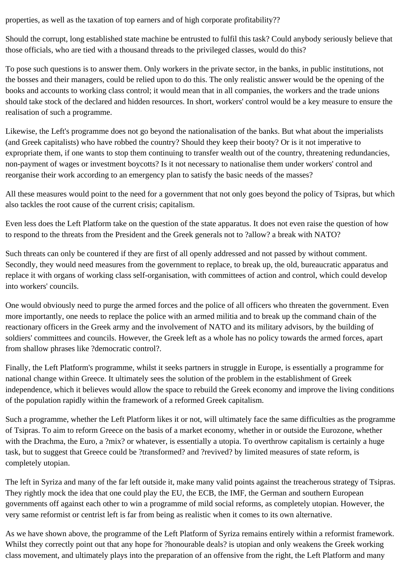properties, as well as the taxation of top earners and of high corporate profitability??

Should the corrupt, long established state machine be entrusted to fulfil this task? Could anybody seriously believe that those officials, who are tied with a thousand threads to the privileged classes, would do this?

To pose such questions is to answer them. Only workers in the private sector, in the banks, in public institutions, not the bosses and their managers, could be relied upon to do this. The only realistic answer would be the opening of the books and accounts to working class control; it would mean that in all companies, the workers and the trade unions should take stock of the declared and hidden resources. In short, workers' control would be a key measure to ensure the realisation of such a programme.

Likewise, the Left's programme does not go beyond the nationalisation of the banks. But what about the imperialists (and Greek capitalists) who have robbed the country? Should they keep their booty? Or is it not imperative to expropriate them, if one wants to stop them continuing to transfer wealth out of the country, threatening redundancies, non-payment of wages or investment boycotts? Is it not necessary to nationalise them under workers' control and reorganise their work according to an emergency plan to satisfy the basic needs of the masses?

All these measures would point to the need for a government that not only goes beyond the policy of Tsipras, but which also tackles the root cause of the current crisis; capitalism.

Even less does the Left Platform take on the question of the state apparatus. It does not even raise the question of how to respond to the threats from the President and the Greek generals not to ?allow? a break with NATO?

Such threats can only be countered if they are first of all openly addressed and not passed by without comment. Secondly, they would need measures from the government to replace, to break up, the old, bureaucratic apparatus and replace it with organs of working class self-organisation, with committees of action and control, which could develop into workers' councils.

One would obviously need to purge the armed forces and the police of all officers who threaten the government. Even more importantly, one needs to replace the police with an armed militia and to break up the command chain of the reactionary officers in the Greek army and the involvement of NATO and its military advisors, by the building of soldiers' committees and councils. However, the Greek left as a whole has no policy towards the armed forces, apart from shallow phrases like ?democratic control?.

Finally, the Left Platform's programme, whilst it seeks partners in struggle in Europe, is essentially a programme for national change within Greece. It ultimately sees the solution of the problem in the establishment of Greek independence, which it believes would allow the space to rebuild the Greek economy and improve the living conditions of the population rapidly within the framework of a reformed Greek capitalism.

Such a programme, whether the Left Platform likes it or not, will ultimately face the same difficulties as the programme of Tsipras. To aim to reform Greece on the basis of a market economy, whether in or outside the Eurozone, whether with the Drachma, the Euro, a ?mix? or whatever, is essentially a utopia. To overthrow capitalism is certainly a huge task, but to suggest that Greece could be ?transformed? and ?revived? by limited measures of state reform, is completely utopian.

The left in Syriza and many of the far left outside it, make many valid points against the treacherous strategy of Tsipras. They rightly mock the idea that one could play the EU, the ECB, the IMF, the German and southern European governments off against each other to win a programme of mild social reforms, as completely utopian. However, the very same reformist or centrist left is far from being as realistic when it comes to its own alternative.

As we have shown above, the programme of the Left Platform of Syriza remains entirely within a reformist framework. Whilst they correctly point out that any hope for ?honourable deals? is utopian and only weakens the Greek working class movement, and ultimately plays into the preparation of an offensive from the right, the Left Platform and many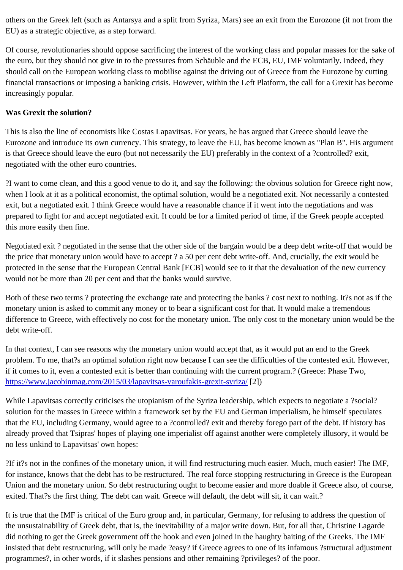EU) as a strategic objective, as a step forward.

Of course, revolutionaries should oppose sacrificing the interest of the working class and popular masses for the s the euro, but they should not give in to the pressures from Schäuble and the ECB, EU, IMF voluntarily. Indeed, the should call on the European working class to mobilise against the driving out of Greece from the Eurozone by cutti financial transactions or imposing a banking crisis. However, within the Left Platform, the call for a Grexit has beco increasingly popular.

# Was Grexit the solution?

This is also the line of economists like Costas Lapavitsas. For years, he has argued that Greece should leave the Eurozone and introduce its own currency. This strategy, to leave the EU, has become known as "Plan B". His argument is that Greece should leave the euro (but not necessarily the EU) preferably in the context of a ?controlled? exit, negotiated with the other euro countries.

?I want to come clean, and this a good venue to do it, and say the following: the obvious solution for Greece right now when I look at it as a political economist, the optimal solution, would be a negotiated exit. Not necessarily a contes exit, but a negotiated exit. I think Greece would have a reasonable chance if it went into the negotiations and was prepared to fight for and accept negotiated exit. It could be for a limited period of time, if the Greek people accepte this more easily then fine.

Negotiated exit ? negotiated in the sense that the other side of the bargain would be a deep debt write-off that wou the price that monetary union would have to accept ? a 50 per cent debt write-off. And, crucially, the exit would be protected in the sense that the European Central Bank [ECB] would see to it that the devaluation of the new curren would not be more than 20 per cent and that the banks would survive.

Both of these two terms? protecting the exchange rate and protecting the banks? cost next to nothing. It?s not as monetary union is asked to commit any money or to bear a significant cost for that. It would make a tremendous difference to Greece, with effectively no cost for the monetary union. The only cost to the monetary union would be debt write-off.

In that context, I can see reasons why the monetary union would accept that, as it would put an end to the Greek problem. To me, that?s an optimal solution right now because I can see the difficulties of the contested exit. Howe if it comes to it, even a contested exit is better than continuing with the current program.? (Greece: Phase Two, https://www.jacobinmag.com/2015/03/lapavitsas-varoufakis-grexit-syapa/

While Lapavitsas correctly criticises the utopianism of the Syriza leadership, which expects to negotiate a ?social? [solution for the masses in Greece within a framework set by the EU](https://www.jacobinmag.com/2015/03/lapavitsas-varoufakis-grexit-syriza/) and German imperialism, he himself speculate that the EU, including Germany, would agree to a ?controlled? exit and thereby forego part of the debt. If history h already proved that Tsipras' hopes of playing one imperialist off against another were completely illusory, it would no less unkind to Lapavitsas' own hopes:

?If it?s not in the confines of the monetary union, it will find restructuring much easier. Much, much easier! The IMI for instance, knows that the debt has to be restructured. The real force stopping restructuring in Greece is the Euro Union and the monetary union. So debt restructuring ought to become easier and more doable if Greece also, of c exited. That?s the first thing. The debt can wait. Greece will default, the debt will sit, it can wait.?

It is true that the IMF is critical of the Euro group and, in particular, Germany, for refusing to address the question of the unsustainability of Greek debt, that is, the inevitability of a major write down. But, for all that, Christine Lagarde did nothing to get the Greek government off the hook and even joined in the haughty baiting of the Greeks. The IM insisted that debt restructuring, will only be made ?easy? if Greece agrees to one of its infamous ?structural adjust programmes?, in other words, if it slashes pensions and other remaining ?privileges? of the poor.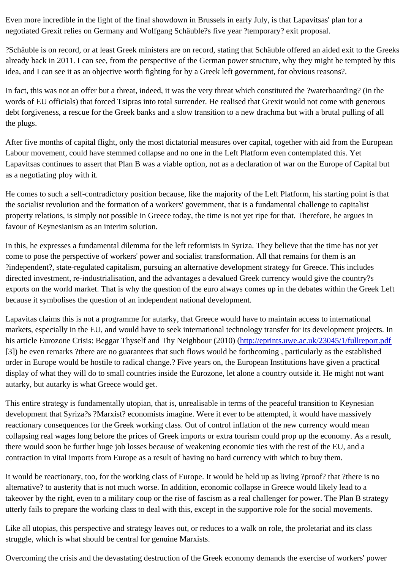negotiated Grexit relies on Germany and Wolfgang Schäuble?s five year ?temporary? exit proposal.

?Schäuble is on record, or at least Greek ministers are on record, stating that Schäuble offered an aided exit to the already back in 2011. I can see, from the perspective of the German power structure, why they might be tempted b idea, and I can see it as an objective worth fighting for by a Greek left government, for obvious reasons?.

In fact, this was not an offer but a threat, indeed, it was the very threat which constituted the ?waterboarding? (in the words of EU officials) that forced Tsipras into total surrender. He realised that Grexit would not come with generou debt forgiveness, a rescue for the Greek banks and a slow transition to a new drachma but with a brutal pulling of the plugs.

After five months of capital flight, only the most dictatorial measures over capital, together with aid from the Europe Labour movement, could have stemmed collapse and no one in the Left Platform even contemplated this. Yet Lapavitsas continues to assert that Plan B was a viable option, not as a declaration of war on the Europe of Capita as a negotiating ploy with it.

He comes to such a self-contradictory position because, like the majority of the Left Platform, his starting point is that the socialist revolution and the formation of a workers' government, that is a fundamental challenge to capitalist property relations, is simply not possible in Greece today, the time is not yet ripe for that. Therefore, he argues in favour of Keynesianism as an interim solution.

In this, he expresses a fundamental dilemma for the left reformists in Syriza. They believe that the time has not ye come to pose the perspective of workers' power and socialist transformation. All that remains for them is an ?independent?, state-regulated capitalism, pursuing an alternative development strategy for Greece. This includes directed investment, re-industrialisation, and the advantages a devalued Greek currency would give the country?s exports on the world market. That is why the question of the euro always comes up in the debates within the Gree because it symbolises the question of an independent national development.

Lapavitas claims this is not a programme for autarky, that Greece would have to maintain access to international markets, especially in the EU, and would have to seek international technology transfer for its development project his article Eurozone Crisis: Beggar Thyself and Thy Neighbour (2010)/(eprints.uwe.ac.uk/23045/1/fullreport.pdf [3]) he even remarks ?there are no guarantees that such flows would be forthcoming, particularly as the establish order in Europe would be hostile to radical change.? Five years on, the European Institutions have given a practica display of what they will do to small countries inside the Eurozon[e, let alone a country outside it. He might no](http://eprints.uwe.ac.uk/23045/1/fullreport.pdf)t want autarky, but autarky is what Greece would get.

This entire strategy is fundamentally utopian, that is, unrealisable in terms of the peaceful transition to Keynesian development that Syriza?s ?Marxist? economists imagine. Were it ever to be attempted, it would have massively reactionary consequences for the Greek working class. Out of control inflation of the new currency would mean collapsing real wages long before the prices of Greek imports or extra tourism could prop up the economy. As a re there would soon be further huge job losses because of weakening economic ties with the rest of the EU, and a contraction in vital imports from Europe as a result of having no hard currency with which to buy them.

It would be reactionary, too, for the working class of Europe. It would be held up as living ?proof? that ?there is no alternative? to austerity that is not much worse. In addition, economic collapse in Greece would likely lead to a takeover by the right, even to a military coup or the rise of fascism as a real challenger for power. The Plan B strat utterly fails to prepare the working class to deal with this, except in the supportive role for the social movements.

Like all utopias, this perspective and strategy leaves out, or reduces to a walk on role, the proletariat and its class struggle, which is what should be central for genuine Marxists.

Overcoming the crisis and the devastating destruction of the Greek economy demands the exercise of workers' po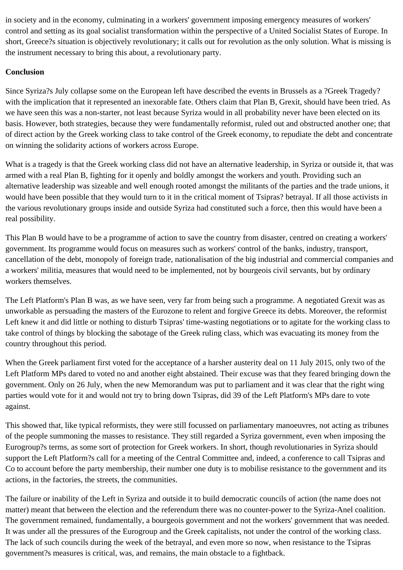in society and in the economy, culminating in a workers' government imposing emergency measures of workers' control and setting as its goal socialist transformation within the perspective of a United Socialist States of Europe. In short, Greece?s situation is objectively revolutionary; it calls out for revolution as the only solution. What is missing is the instrument necessary to bring this about, a revolutionary party.

# **Conclusion**

Since Syriza?s July collapse some on the European left have described the events in Brussels as a ?Greek Tragedy? with the implication that it represented an inexorable fate. Others claim that Plan B, Grexit, should have been tried. As we have seen this was a non-starter, not least because Syriza would in all probability never have been elected on its basis. However, both strategies, because they were fundamentally reformist, ruled out and obstructed another one; that of direct action by the Greek working class to take control of the Greek economy, to repudiate the debt and concentrate on winning the solidarity actions of workers across Europe.

What is a tragedy is that the Greek working class did not have an alternative leadership, in Syriza or outside it, that was armed with a real Plan B, fighting for it openly and boldly amongst the workers and youth. Providing such an alternative leadership was sizeable and well enough rooted amongst the militants of the parties and the trade unions, it would have been possible that they would turn to it in the critical moment of Tsipras? betrayal. If all those activists in the various revolutionary groups inside and outside Syriza had constituted such a force, then this would have been a real possibility.

This Plan B would have to be a programme of action to save the country from disaster, centred on creating a workers' government. Its programme would focus on measures such as workers' control of the banks, industry, transport, cancellation of the debt, monopoly of foreign trade, nationalisation of the big industrial and commercial companies and a workers' militia, measures that would need to be implemented, not by bourgeois civil servants, but by ordinary workers themselves.

The Left Platform's Plan B was, as we have seen, very far from being such a programme. A negotiated Grexit was as unworkable as persuading the masters of the Eurozone to relent and forgive Greece its debts. Moreover, the reformist Left knew it and did little or nothing to disturb Tsipras' time-wasting negotiations or to agitate for the working class to take control of things by blocking the sabotage of the Greek ruling class, which was evacuating its money from the country throughout this period.

When the Greek parliament first voted for the acceptance of a harsher austerity deal on 11 July 2015, only two of the Left Platform MPs dared to voted no and another eight abstained. Their excuse was that they feared bringing down the government. Only on 26 July, when the new Memorandum was put to parliament and it was clear that the right wing parties would vote for it and would not try to bring down Tsipras, did 39 of the Left Platform's MPs dare to vote against.

This showed that, like typical reformists, they were still focussed on parliamentary manoeuvres, not acting as tribunes of the people summoning the masses to resistance. They still regarded a Syriza government, even when imposing the Eurogroup?s terms, as some sort of protection for Greek workers. In short, though revolutionaries in Syriza should support the Left Platform?s call for a meeting of the Central Committee and, indeed, a conference to call Tsipras and Co to account before the party membership, their number one duty is to mobilise resistance to the government and its actions, in the factories, the streets, the communities.

The failure or inability of the Left in Syriza and outside it to build democratic councils of action (the name does not matter) meant that between the election and the referendum there was no counter-power to the Syriza-Anel coalition. The government remained, fundamentally, a bourgeois government and not the workers' government that was needed. It was under all the pressures of the Eurogroup and the Greek capitalists, not under the control of the working class. The lack of such councils during the week of the betrayal, and even more so now, when resistance to the Tsipras government?s measures is critical, was, and remains, the main obstacle to a fightback.